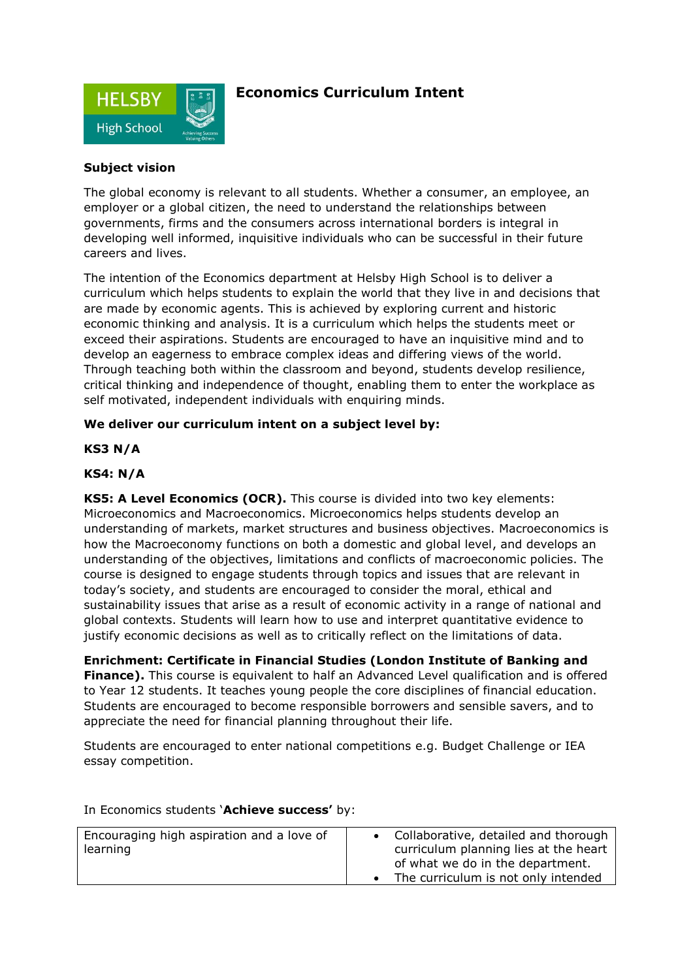

# **Economics Curriculum Intent**

# **Subject vision**

The global economy is relevant to all students. Whether a consumer, an employee, an employer or a global citizen, the need to understand the relationships between governments, firms and the consumers across international borders is integral in developing well informed, inquisitive individuals who can be successful in their future careers and lives.

The intention of the Economics department at Helsby High School is to deliver a curriculum which helps students to explain the world that they live in and decisions that are made by economic agents. This is achieved by exploring current and historic economic thinking and analysis. It is a curriculum which helps the students meet or exceed their aspirations. Students are encouraged to have an inquisitive mind and to develop an eagerness to embrace complex ideas and differing views of the world. Through teaching both within the classroom and beyond, students develop resilience, critical thinking and independence of thought, enabling them to enter the workplace as self motivated, independent individuals with enquiring minds.

# **We deliver our curriculum intent on a subject level by:**

# **KS3 N/A**

# **KS4: N/A**

**KS5: A Level Economics (OCR).** This course is divided into two key elements: Microeconomics and Macroeconomics. Microeconomics helps students develop an understanding of markets, market structures and business objectives. Macroeconomics is how the Macroeconomy functions on both a domestic and global level, and develops an understanding of the objectives, limitations and conflicts of macroeconomic policies. The course is designed to engage students through topics and issues that are relevant in today's society, and students are encouraged to consider the moral, ethical and sustainability issues that arise as a result of economic activity in a range of national and global contexts. Students will learn how to use and interpret quantitative evidence to justify economic decisions as well as to critically reflect on the limitations of data.

**Enrichment: Certificate in Financial Studies (London Institute of Banking and Finance).** This course is equivalent to half an Advanced Level qualification and is offered to Year 12 students. It teaches young people the core disciplines of financial education. Students are encouraged to become responsible borrowers and sensible savers, and to appreciate the need for financial planning throughout their life.

Students are encouraged to enter national competitions e.g. Budget Challenge or IEA essay competition.

| Encouraging high aspiration and a love of<br>learning | • Collaborative, detailed and thorough<br>curriculum planning lies at the heart |
|-------------------------------------------------------|---------------------------------------------------------------------------------|
|                                                       | of what we do in the department.                                                |
|                                                       | The curriculum is not only intended                                             |

In Economics students '**Achieve success'** by: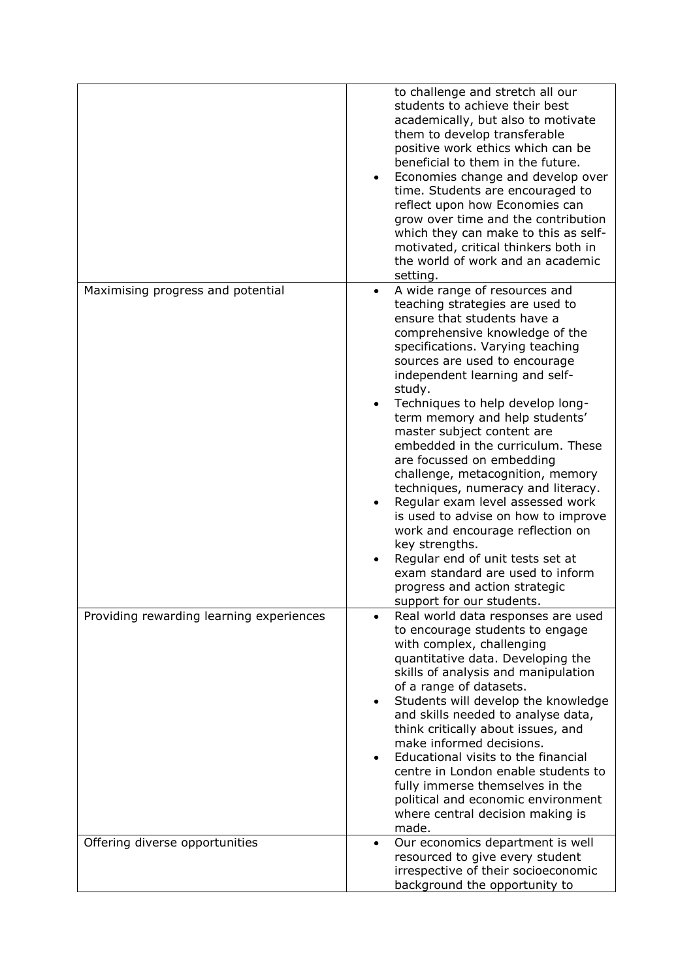|                                          | to challenge and stretch all our<br>students to achieve their best<br>academically, but also to motivate<br>them to develop transferable<br>positive work ethics which can be<br>beneficial to them in the future.<br>Economies change and develop over<br>time. Students are encouraged to<br>reflect upon how Economies can<br>grow over time and the contribution<br>which they can make to this as self-<br>motivated, critical thinkers both in<br>the world of work and an academic<br>setting.                                                                                                                                                                                                                                                                                                            |
|------------------------------------------|------------------------------------------------------------------------------------------------------------------------------------------------------------------------------------------------------------------------------------------------------------------------------------------------------------------------------------------------------------------------------------------------------------------------------------------------------------------------------------------------------------------------------------------------------------------------------------------------------------------------------------------------------------------------------------------------------------------------------------------------------------------------------------------------------------------|
| Maximising progress and potential        | A wide range of resources and<br>$\bullet$<br>teaching strategies are used to<br>ensure that students have a<br>comprehensive knowledge of the<br>specifications. Varying teaching<br>sources are used to encourage<br>independent learning and self-<br>study.<br>Techniques to help develop long-<br>$\bullet$<br>term memory and help students'<br>master subject content are<br>embedded in the curriculum. These<br>are focussed on embedding<br>challenge, metacognition, memory<br>techniques, numeracy and literacy.<br>Regular exam level assessed work<br>$\bullet$<br>is used to advise on how to improve<br>work and encourage reflection on<br>key strengths.<br>Regular end of unit tests set at<br>exam standard are used to inform<br>progress and action strategic<br>support for our students. |
| Providing rewarding learning experiences | Real world data responses are used<br>to encourage students to engage<br>with complex, challenging<br>quantitative data. Developing the<br>skills of analysis and manipulation<br>of a range of datasets.<br>Students will develop the knowledge<br>and skills needed to analyse data,<br>think critically about issues, and<br>make informed decisions.<br>Educational visits to the financial<br>centre in London enable students to<br>fully immerse themselves in the<br>political and economic environment<br>where central decision making is<br>made.                                                                                                                                                                                                                                                     |
| Offering diverse opportunities           | Our economics department is well<br>$\bullet$<br>resourced to give every student<br>irrespective of their socioeconomic<br>background the opportunity to                                                                                                                                                                                                                                                                                                                                                                                                                                                                                                                                                                                                                                                         |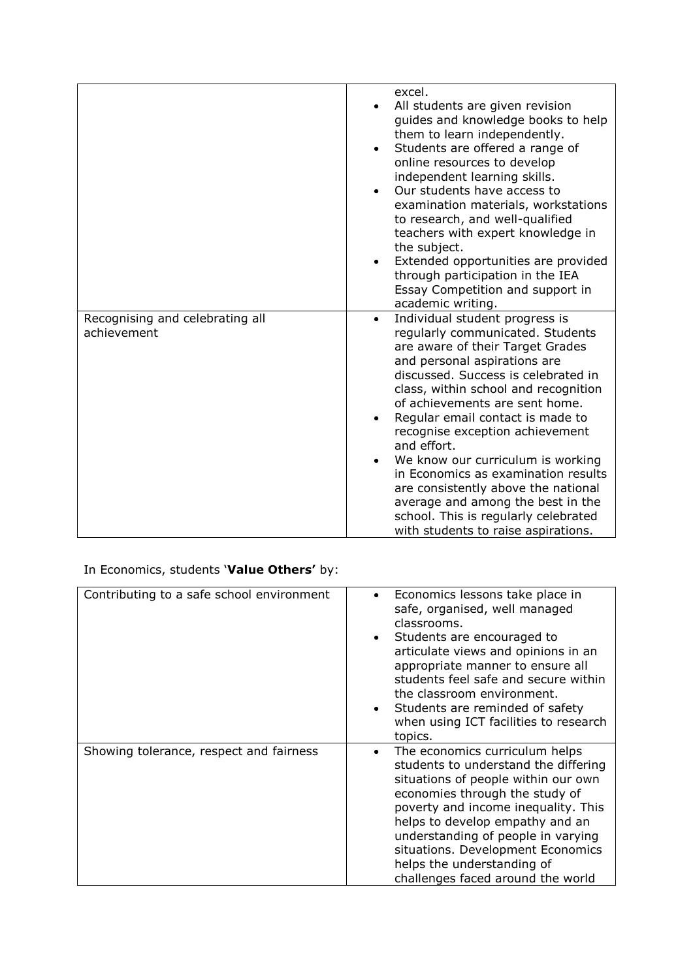|                                 | excel.                                                               |
|---------------------------------|----------------------------------------------------------------------|
|                                 | All students are given revision                                      |
|                                 | guides and knowledge books to help                                   |
|                                 | them to learn independently.                                         |
|                                 | Students are offered a range of                                      |
|                                 | online resources to develop                                          |
|                                 | independent learning skills.                                         |
|                                 | Our students have access to                                          |
|                                 | examination materials, workstations                                  |
|                                 | to research, and well-qualified                                      |
|                                 | teachers with expert knowledge in                                    |
|                                 | the subject.                                                         |
|                                 | Extended opportunities are provided<br>$\bullet$                     |
|                                 | through participation in the IEA                                     |
|                                 | Essay Competition and support in                                     |
|                                 | academic writing.                                                    |
| Recognising and celebrating all | Individual student progress is<br>$\bullet$                          |
| achievement                     | regularly communicated. Students<br>are aware of their Target Grades |
|                                 | and personal aspirations are                                         |
|                                 | discussed. Success is celebrated in                                  |
|                                 | class, within school and recognition                                 |
|                                 | of achievements are sent home.                                       |
|                                 | Regular email contact is made to                                     |
|                                 | recognise exception achievement                                      |
|                                 | and effort.                                                          |
|                                 | We know our curriculum is working                                    |
|                                 | in Economics as examination results                                  |
|                                 | are consistently above the national                                  |
|                                 | average and among the best in the                                    |
|                                 | school. This is regularly celebrated                                 |
|                                 | with students to raise aspirations.                                  |

In Economics, students '**Value Others'** by:

| Contributing to a safe school environment | Economics lessons take place in<br>$\bullet$<br>safe, organised, well managed<br>classrooms.<br>Students are encouraged to<br>$\bullet$<br>articulate views and opinions in an<br>appropriate manner to ensure all<br>students feel safe and secure within<br>the classroom environment.<br>Students are reminded of safety<br>$\bullet$<br>when using ICT facilities to research<br>topics. |
|-------------------------------------------|----------------------------------------------------------------------------------------------------------------------------------------------------------------------------------------------------------------------------------------------------------------------------------------------------------------------------------------------------------------------------------------------|
| Showing tolerance, respect and fairness   | The economics curriculum helps<br>٠<br>students to understand the differing<br>situations of people within our own<br>economies through the study of<br>poverty and income inequality. This<br>helps to develop empathy and an<br>understanding of people in varying<br>situations. Development Economics<br>helps the understanding of<br>challenges faced around the world                 |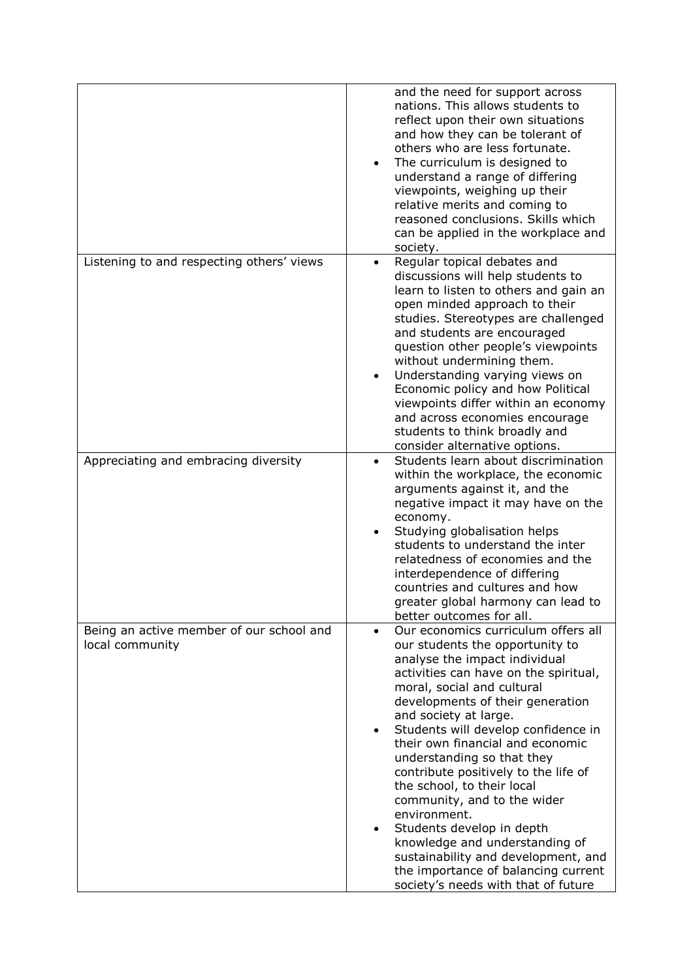|                                                             | and the need for support across<br>nations. This allows students to<br>reflect upon their own situations<br>and how they can be tolerant of<br>others who are less fortunate.<br>The curriculum is designed to<br>$\bullet$<br>understand a range of differing<br>viewpoints, weighing up their<br>relative merits and coming to<br>reasoned conclusions. Skills which<br>can be applied in the workplace and<br>society.                                                                                                                                                                                                                                                                            |
|-------------------------------------------------------------|------------------------------------------------------------------------------------------------------------------------------------------------------------------------------------------------------------------------------------------------------------------------------------------------------------------------------------------------------------------------------------------------------------------------------------------------------------------------------------------------------------------------------------------------------------------------------------------------------------------------------------------------------------------------------------------------------|
| Listening to and respecting others' views                   | Regular topical debates and<br>$\bullet$<br>discussions will help students to<br>learn to listen to others and gain an<br>open minded approach to their<br>studies. Stereotypes are challenged<br>and students are encouraged<br>question other people's viewpoints<br>without undermining them.<br>Understanding varying views on<br>Economic policy and how Political<br>viewpoints differ within an economy<br>and across economies encourage<br>students to think broadly and<br>consider alternative options.                                                                                                                                                                                   |
| Appreciating and embracing diversity                        | Students learn about discrimination<br>$\bullet$<br>within the workplace, the economic<br>arguments against it, and the<br>negative impact it may have on the<br>economy.<br>Studying globalisation helps<br>$\bullet$<br>students to understand the inter<br>relatedness of economies and the<br>interdependence of differing<br>countries and cultures and how<br>greater global harmony can lead to<br>better outcomes for all.                                                                                                                                                                                                                                                                   |
| Being an active member of our school and<br>local community | Our economics curriculum offers all<br>$\bullet$<br>our students the opportunity to<br>analyse the impact individual<br>activities can have on the spiritual,<br>moral, social and cultural<br>developments of their generation<br>and society at large.<br>Students will develop confidence in<br>$\bullet$<br>their own financial and economic<br>understanding so that they<br>contribute positively to the life of<br>the school, to their local<br>community, and to the wider<br>environment.<br>Students develop in depth<br>$\bullet$<br>knowledge and understanding of<br>sustainability and development, and<br>the importance of balancing current<br>society's needs with that of future |